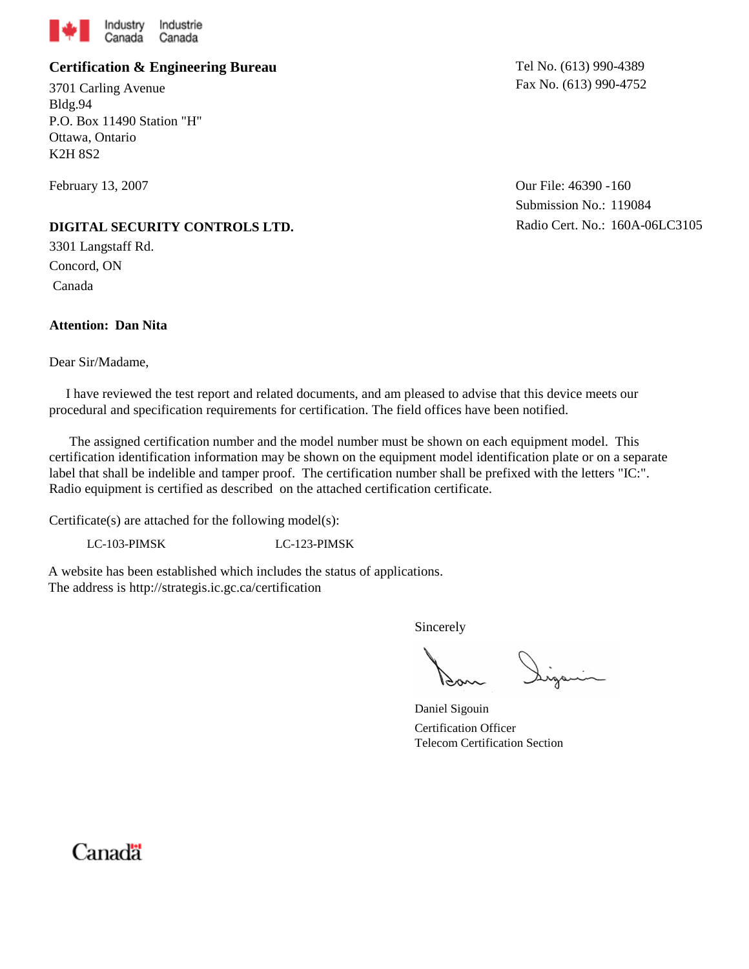

### **Certification & Engineering Bureau**

3701 Carling Avenue Bldg.94 P.O. Box 11490 Station "H" Ottawa, Ontario K2H 8S2

February 13, 2007

#### **DIGITAL SECURITY CONTROLS LTD.**

3301 Langstaff Rd. Concord, ON Canada

### **Attention: Dan Nita**

#### Dear Sir/Madame,

Tel No. (613) 990-4389 Fax No. (613) 990-4752

Our File: 46390 - 160 Submission No.: 119084 Radio Cert. No.: 160A-06LC3105

 I have reviewed the test report and related documents, and am pleased to advise that this device meets our procedural and specification requirements for certification. The field offices have been notified.

 The assigned certification number and the model number must be shown on each equipment model. This certification identification information may be shown on the equipment model identification plate or on a separate label that shall be indelible and tamper proof. The certification number shall be prefixed with the letters "IC:". Radio equipment is certified as described on the attached certification certificate.

Certificate(s) are attached for the following model(s):

LC-103-PIMSK LC-123-PIMSK

A website has been established which includes the status of applications. The address is http://strategis.ic.gc.ca/certification

Sincerely

Daniel Sigouin Certification Officer Telecom Certification Section

# Canadä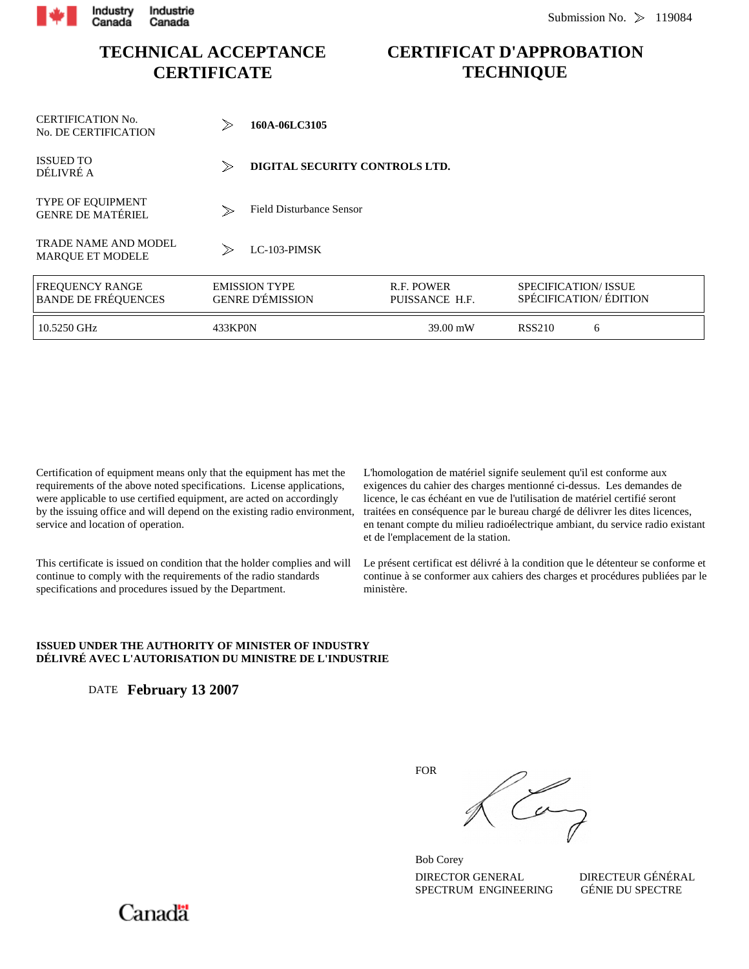

## **TECHNICAL ACCEPTANCE CERTIFICATE**

## **CERTIFICAT D'APPROBATION TECHNIQUE**

| <b>CERTIFICATION No.</b><br>No. DE CERTIFICATION       | $\gg$                                           | 160A-06LC3105                   |                              |                            |                       |  |  |  |
|--------------------------------------------------------|-------------------------------------------------|---------------------------------|------------------------------|----------------------------|-----------------------|--|--|--|
| <b>ISSUED TO</b><br>DÉLIVRÉ A                          | $\gg$                                           | DIGITAL SECURITY CONTROLS LTD.  |                              |                            |                       |  |  |  |
| <b>TYPE OF EQUIPMENT</b><br><b>GENRE DE MATÉRIEL</b>   | $\gg$                                           | <b>Field Disturbance Sensor</b> |                              |                            |                       |  |  |  |
| <b>TRADE NAME AND MODEL</b><br><b>MARQUE ET MODELE</b> | $\gg$                                           | $LC-103-PIMSK$                  |                              |                            |                       |  |  |  |
| <b>FREQUENCY RANGE</b><br><b>BANDE DE FRÉQUENCES</b>   | <b>EMISSION TYPE</b><br><b>GENRE D'ÉMISSION</b> |                                 | R.F. POWER<br>PUISSANCE H.F. | <b>SPECIFICATION/ISSUE</b> | SPÉCIFICATION/ÉDITION |  |  |  |
| 10.5250 GHz                                            | 433KP0N                                         |                                 | 39.00 mW                     | <b>RSS210</b>              | 6                     |  |  |  |

Certification of equipment means only that the equipment has met the requirements of the above noted specifications. License applications, were applicable to use certified equipment, are acted on accordingly by the issuing office and will depend on the existing radio environment, service and location of operation.

This certificate is issued on condition that the holder complies and will continue to comply with the requirements of the radio standards specifications and procedures issued by the Department.

L'homologation de matériel signife seulement qu'il est conforme aux exigences du cahier des charges mentionné ci-dessus. Les demandes de licence, le cas échéant en vue de l'utilisation de matériel certifié seront traitées en conséquence par le bureau chargé de délivrer les dites licences, en tenant compte du milieu radioélectrique ambiant, du service radio existant et de l'emplacement de la station.

Le présent certificat est délivré à la condition que le détenteur se conforme et continue à se conformer aux cahiers des charges et procédures publiées par le ministère.

#### **ISSUED UNDER THE AUTHORITY OF MINISTER OF INDUSTRY DÉLIVRÉ AVEC L'AUTORISATION DU MINISTRE DE L'INDUSTRIE**

DATE **February 13 2007**

Can

DIRECTOR GENERAL DIRECTEUR GÉNÉRAL<br>SPECTRUM ENGINEERING GÉNIE DU SPECTRE SPECTRUM ENGINEERING Bob Corey

FOR

Canadä